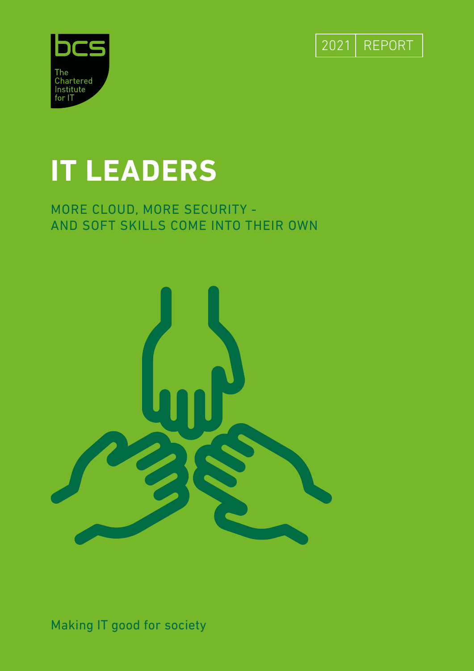



## **IT LEADERS**

#### MORE CLOUD, MORE SECURITY - AND SOFT SKILLS COME INTO THEIR OWN



Making IT good for society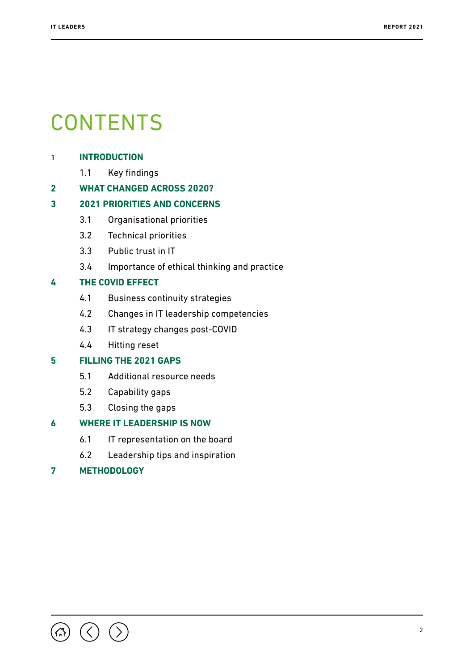## **CONTENTS**

#### **1 [INTRODUCTION](#page-2-0)**

1.1 [Key findings](#page-2-0)

#### **2 [WHAT CHANGED ACROSS 2020?](#page-3-0)**

#### **3 [2021 PRIORITIES AND CONCERNS](#page-4-0)**

- 3.1 [Organisational priorities](#page-4-0)
- 3.2 [Technical priorities](#page-5-0)
- 3.3 [Public trust in IT](#page-8-0)
- 3.4 [Importance of ethical thinking and practice](#page-9-0)

#### **4 [THE COVID EFFECT](#page-10-0)**

- 4.1 [Business continuity strategies](#page-10-0)
- 4.2 [Changes in IT leadership competencies](#page-11-0)
- 4.3 [IT strategy changes post-COVID](#page-12-0)
- 4.4 [Hitting reset](#page-13-0)

#### **5 [FILLING THE 2021 GAPS](#page-15-0)**

- 5.1 [Additional resource needs](#page-15-0)
- 5.2 [Capability gaps](#page-15-0)
- 5.3 [Closing the gaps](#page-16-0)

#### **6 [WHERE IT LEADERSHIP IS NOW](#page-17-0)**

- 6.1 [IT representation on the board](#page-17-0)
- 6.2 [Leadership tips and inspiration](#page-18-0)

#### **7 [METHODOLOGY](#page-19-0)**

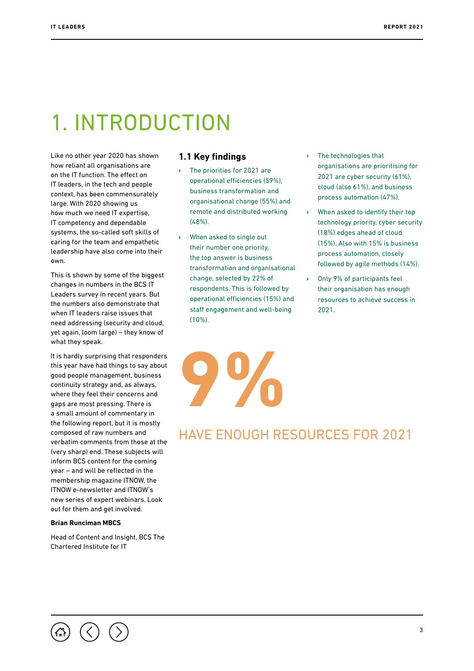## <span id="page-2-0"></span>1. INTRODUCTION

Like no other year 2020 has shown how reliant all organisations are on the IT function. The effect on IT leaders, in the tech and people context, has been commensurately large. With 2020 showing us how much we need IT expertise, IT competency and dependable systems, the so-called soft skills of caring for the team and empathetic leadership have also come into their own.

This is shown by some of the biggest changes in numbers in the BCS IT Leaders survey in recent years. But the numbers also demonstrate that when IT leaders raise issues that need addressing (security and cloud, yet again, loom large) – they know of what they speak.

It is hardly surprising that responders this year have had things to say about good people management, business continuity strategy and, as always, where they feel their concerns and gaps are most pressing. There is a small amount of commentary in the following report, but it is mostly composed of raw numbers and verbatim comments from those at the (very sharp) end. These subjects will inform BCS content for the coming year – and will be reflected in the membership magazine ITNOW, the ITNOW e-newsletter and ITNOW's new series of expert webinars. Look out for them and get involved.

#### **Brian Runciman MBCS**

Head of Content and Insight, BCS The Chartered Institute for IT

#### **1.1 Key findings**

- **›** The priorities for 2021 are operational efficiencies (59%), business transformation and organisational change (55%) and remote and distributed working (48%).
- **›** When asked to single out their number one priority, the top answer is business transformation and organisational change, selected by 22% of respondents. This is followed by operational efficiencies (15%) and staff engagement and well-being  $(10\%)$ .

**9%**

- **›** The technologies that organisations are prioritising for 2021 are cyber security (61%), cloud (also 61%), and business process automation (47%).
- **›** When asked to identify their top technology priority, cyber security (18%) edges ahead of cloud (15%). Also with 15% is business process automation, closely followed by agile methods (14%).
- **›** Only 9% of participants feel their organisation has enough resources to achieve success in 2021.

#### HAVE ENOUGH RESOURCES FOR 2021

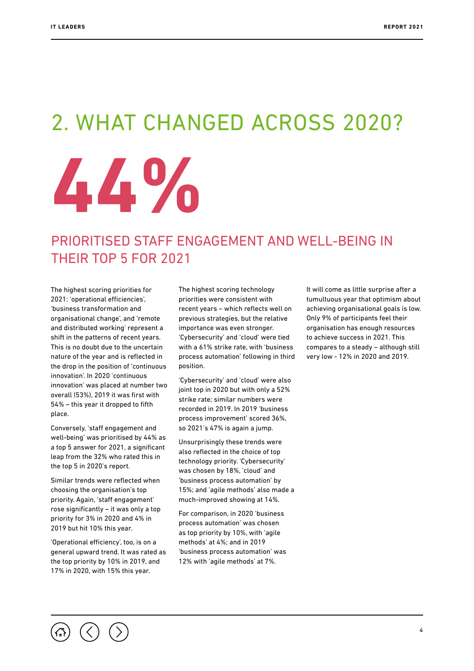## <span id="page-3-0"></span>2. WHAT CHANGED ACROSS 2020?



#### PRIORITISED STAFF ENGAGEMENT AND WELL-BEING IN THEIR TOP 5 FOR 2021

The highest scoring priorities for 2021: 'operational efficiencies', 'business transformation and organisational change', and 'remote and distributed working' represent a shift in the patterns of recent years. This is no doubt due to the uncertain nature of the year and is reflected in the drop in the position of 'continuous innovation'. In 2020 'continuous innovation' was placed at number two overall (53%), 2019 it was first with 54% – this year it dropped to fifth place.

Conversely, 'staff engagement and well-being' was prioritised by 44% as a top 5 answer for 2021, a significant leap from the 32% who rated this in the top 5 in 2020's report.

Similar trends were reflected when choosing the organisation's top priority. Again, 'staff engagement' rose significantly – it was only a top priority for 3% in 2020 and 4% in 2019 but hit 10% this year.

'Operational efficiency', too, is on a general upward trend. It was rated as the top priority by 10% in 2019, and 17% in 2020, with 15% this year.

The highest scoring technology priorities were consistent with recent years – which reflects well on previous strategies, but the relative importance was even stronger. 'Cybersecurity' and 'cloud' were tied with a 61% strike rate, with 'business process automation' following in third position.

'Cybersecurity' and 'cloud' were also joint top in 2020 but with only a 52% strike rate; similar numbers were recorded in 2019. In 2019 'business process improvement' scored 36%, so 2021's 47% is again a jump.

Unsurprisingly these trends were also reflected in the choice of top technology priority. 'Cybersecurity' was chosen by 18%, 'cloud' and 'business process automation' by 15%; and 'agile methods' also made a much-improved showing at 14%.

For comparison, in 2020 'business process automation' was chosen as top priority by 10%, with 'agile methods' at 4%; and in 2019 'business process automation' was 12% with 'agile methods' at 7%.

It will come as little surprise after a tumultuous year that optimism about achieving organisational goals is low. Only 9% of participants feel their organisation has enough resources to achieve success in 2021. This compares to a steady – although still very low - 12% in 2020 and 2019.

4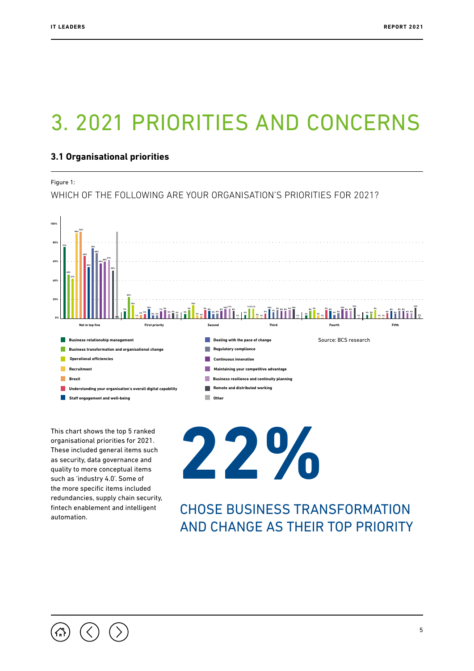## <span id="page-4-0"></span>3. 2021 PRIORITIES AND CONCERNS

#### **3.1 Organisational priorities**

Figure 1:

WHICH OF THE FOLLOWING ARE YOUR ORGANISATION'S PRIORITIES FOR 2021?



This chart shows the top 5 ranked organisational priorities for 2021. These included general items such as security, data governance and quality to more conceptual items such as 'industry 4.0'. Some of the more specific items included redundancies, supply chain security, fintech enablement and intelligent automation.

**22%**

CHOSE BUSINESS TRANSFORMATION AND CHANGE AS THEIR TOP PRIORITY

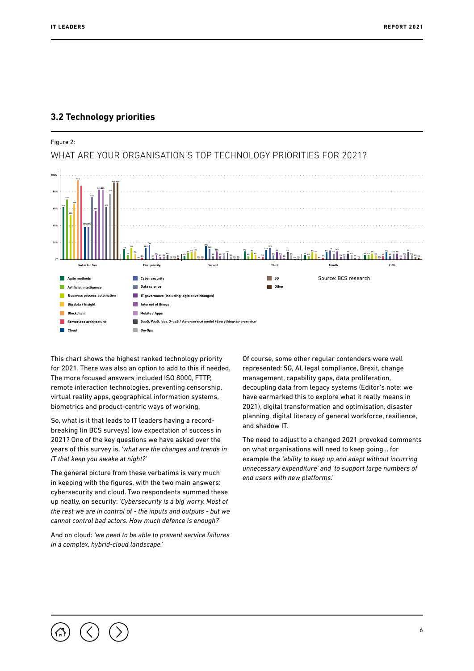#### <span id="page-5-0"></span>**3.2 Technology priorities**



This chart shows the highest ranked technology priority for 2021. There was also an option to add to this if needed. The more focused answers included ISO 8000, FTTP, remote interaction technologies, preventing censorship, virtual reality apps, geographical information systems, biometrics and product-centric ways of working.

So, what is it that leads to IT leaders having a recordbreaking (in BCS surveys) low expectation of success in 2021? One of the key questions we have asked over the years of this survey is, *'what are the changes and trends in IT that keep you awake at night?'*

The general picture from these verbatims is very much in keeping with the figures, with the two main answers: cybersecurity and cloud. Two respondents summed these up neatly, on security: *'Cybersecurity is a big worry. Most of the rest we are in control of - the inputs and outputs - but we cannot control bad actors. How much defence is enough?'* 

And on cloud: *'we need to be able to prevent service failures in a complex, hybrid-cloud landscape.'*

Of course, some other regular contenders were well represented: 5G, AI, legal compliance, Brexit, change management, capability gaps, data proliferation, decoupling data from legacy systems (Editor's note: we have earmarked this to explore what it really means in 2021), digital transformation and optimisation, disaster planning, digital literacy of general workforce, resilience, and shadow IT.

The need to adjust to a changed 2021 provoked comments on what organisations will need to keep going… for example the *'ability to keep up and adapt without incurring unnecessary expenditure' and 'to support large numbers of end users with new platforms.'*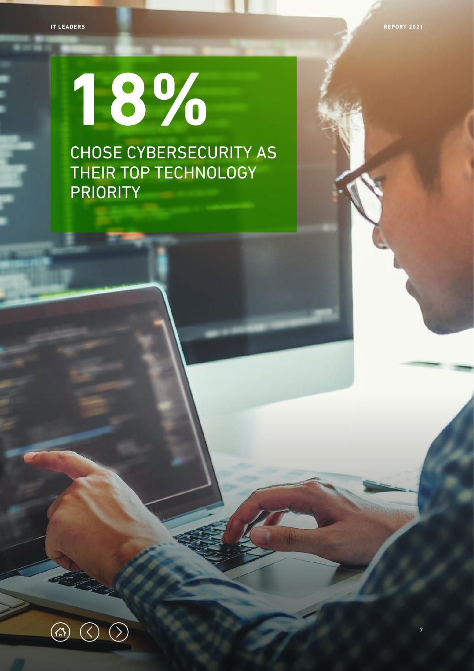7

## **18%** CHOSE CYBERSECURITY AS THEIR TOP TECHNOLOGY PRIORITY

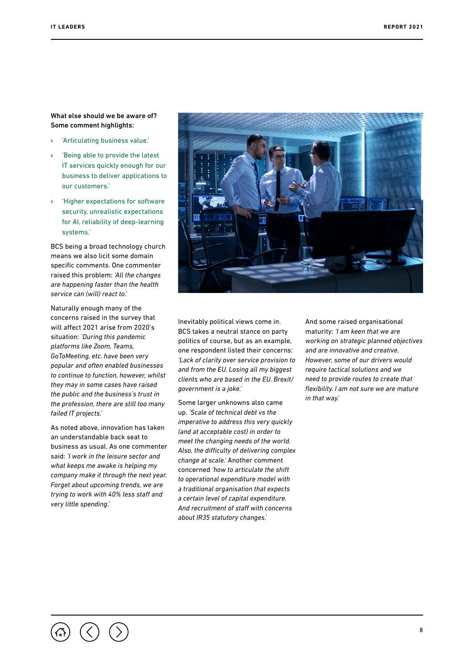What else should we be aware of? Some comment highlights:

- **›** 'Articulating business value.'
- **›** 'Being able to provide the latest IT services quickly enough for our business to deliver applications to our customers.'
- **›** 'Higher expectations for software security, unrealistic expectations for AI, reliability of deep-learning systems.'

BCS being a broad technology church means we also licit some domain specific comments. One commenter raised this problem: *'All the changes are happening faster than the health service can (will) react to.'*

Naturally enough many of the concerns raised in the survey that will affect 2021 arise from 2020's situation: *'During this pandemic platforms like Zoom, Teams, GoToMeeting, etc. have been very popular and often enabled businesses to continue to function, however, whilst they may in some cases have raised the public and the business's trust in the profession, there are still too many failed IT projects.'*

As noted above, innovation has taken an understandable back seat to business as usual. As one commenter said: *'I work in the leisure sector and what keeps me awake is helping my company make it through the next year. Forget about upcoming trends, we are trying to work with 40% less staff and very little spending.'*



Inevitably political views come in. BCS takes a neutral stance on party politics of course, but as an example, one respondent listed their concerns: *'Lack of clarity over service provision to and from the EU. Losing all my biggest clients who are based in the EU. Brexit/ government is a joke.'*

Some larger unknowns also came up. *'Scale of technical debt vs the imperative to address this very quickly (and at acceptable cost) in order to meet the changing needs of the world. Also, the difficulty of delivering complex change at scale.'* Another comment concerned *'how to articulate the shift to operational expenditure model with a traditional organisation that expects a certain level of capital expenditure. And recruitment of staff with concerns about IR35 statutory changes.'*

And some raised organisational maturity: *'I am keen that we are working on strategic planned objectives and are innovative and creative. However, some of our drivers would require tactical solutions and we need to provide routes to create that flexibility. I am not sure we are mature in that way.'*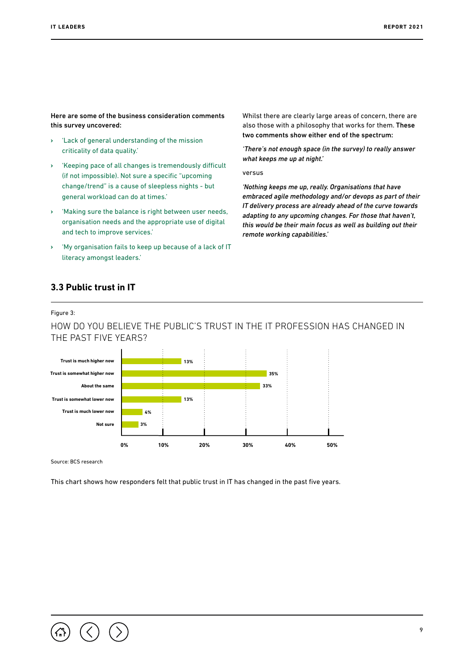<span id="page-8-0"></span>Here are some of the business consideration comments this survey uncovered:

- **›** 'Lack of general understanding of the mission criticality of data quality.'
- **›** 'Keeping pace of all changes is tremendously difficult (if not impossible). Not sure a specific "upcoming change/trend" is a cause of sleepless nights - but general workload can do at times.'
- **›** 'Making sure the balance is right between user needs, organisation needs and the appropriate use of digital and tech to improve services.'
- **›** 'My organisation fails to keep up because of a lack of IT literacy amongst leaders.'

Whilst there are clearly large areas of concern, there are also those with a philosophy that works for them. These two comments show either end of the spectrum:

*'There's not enough space (in the survey) to really answer what keeps me up at night.'*

versus

*'Nothing keeps me up, really. Organisations that have embraced agile methodology and/or devops as part of their IT delivery process are already ahead of the curve towards adapting to any upcoming changes. For those that haven't, this would be their main focus as well as building out their remote working capabilities.'*

#### **3.3 Public trust in IT**

Figure 3:

#### HOW DO YOU BELIEVE THE PUBLIC'S TRUST IN THE IT PROFESSION HAS CHANGED IN THE PAST FIVE YEARS?



Source: BCS research

This chart shows how responders felt that public trust in IT has changed in the past five years.

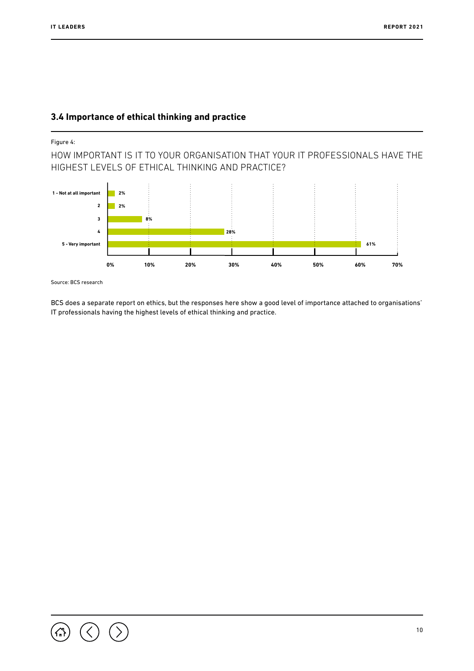#### <span id="page-9-0"></span>**3.4 Importance of ethical thinking and practice**

#### Figure 4:

HOW IMPORTANT IS IT TO YOUR ORGANISATION THAT YOUR IT PROFESSIONALS HAVE THE HIGHEST LEVELS OF ETHICAL THINKING AND PRACTICE?



Source: BCS research

BCS does a separate report on ethics, but the responses here show a good level of importance attached to organisations' IT professionals having the highest levels of ethical thinking and practice.

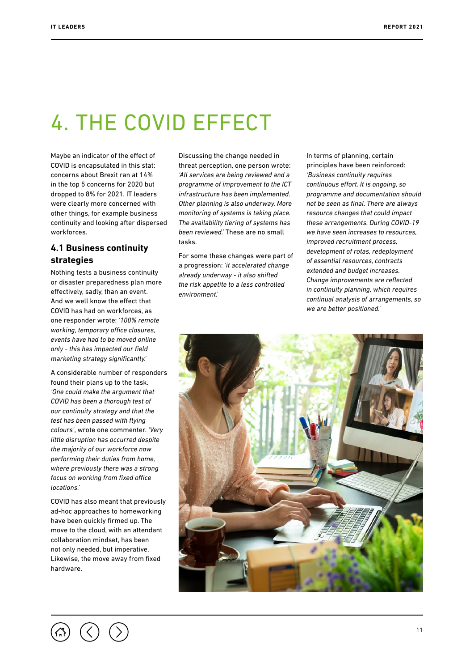## <span id="page-10-0"></span>4. THE COVID EFFECT

Maybe an indicator of the effect of COVID is encapsulated in this stat: concerns about Brexit ran at 14% in the top 5 concerns for 2020 but dropped to 8% for 2021. IT leaders were clearly more concerned with other things, for example business continuity and looking after dispersed workforces.

#### **4.1 Business continuity strategies**

Nothing tests a business continuity or disaster preparedness plan more effectively, sadly, than an event. And we well know the effect that COVID has had on workforces, as one responder wrote: *'100% remote working, temporary office closures, events have had to be moved online only - this has impacted our field marketing strategy significantly.'*

A considerable number of responders found their plans up to the task. *'One could make the argument that COVID has been a thorough test of our continuity strategy and that the test has been passed with flying colours'*, wrote one commenter. *'Very little disruption has occurred despite the majority of our workforce now performing their duties from home, where previously there was a strong focus on working from fixed office locations.'*

COVID has also meant that previously ad-hoc approaches to homeworking have been quickly firmed up. The move to the cloud, with an attendant collaboration mindset, has been not only needed, but imperative. Likewise, the move away from fixed hardware.

Discussing the change needed in threat perception, one person wrote: *'All services are being reviewed and a programme of improvement to the ICT infrastructure has been implemented. Other planning is also underway. More monitoring of systems is taking place. The availability tiering of systems has been reviewed.'* These are no small tasks.

For some these changes were part of a progression: *'it accelerated change already underway - it also shifted the risk appetite to a less controlled environment.'*

In terms of planning, certain principles have been reinforced: *'Business continuity requires continuous effort. It is ongoing, so programme and documentation should not be seen as final. There are always resource changes that could impact these arrangements. During COVID-19 we have seen increases to resources, improved recruitment process, development of rotas, redeployment of essential resources, contracts extended and budget increases. Change improvements are reflected in continuity planning, which requires continual analysis of arrangements, so we are better positioned.'*

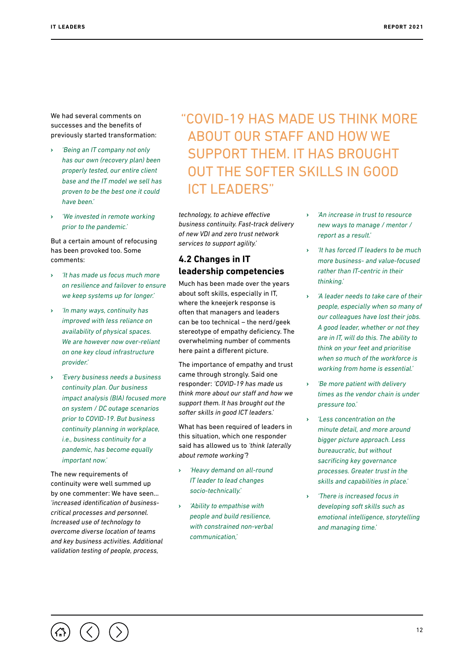<span id="page-11-0"></span>We had several comments on successes and the benefits of previously started transformation:

- **›** *'Being an IT company not only has our own (recovery plan) been properly tested, our entire client base and the IT model we sell has proven to be the best one it could have been.'*
- **›** *'We invested in remote working prior to the pandemic.'*

But a certain amount of refocusing has been provoked too. Some comments:

- **›** *'It has made us focus much more on resilience and failover to ensure we keep systems up for longer.'*
- **›** *'In many ways, continuity has improved with less reliance on availability of physical spaces. We are however now over-reliant on one key cloud infrastructure provider.'*
- **›** *'Every business needs a business continuity plan. Our business impact analysis (BIA) focused more on system / DC outage scenarios prior to COVID-19. But business continuity planning in workplace, i.e., business continuity for a pandemic, has become equally important now.'*

The new requirements of continuity were well summed up by one commenter: We have seen… *'increased identification of businesscritical processes and personnel. Increased use of technology to overcome diverse location of teams and key business activities. Additional validation testing of people, process,* 

#### "COVID-19 HAS MADE US THINK MORE ABOUT OUR STAFF AND HOW WE SUPPORT THEM. IT HAS BROUGHT OUT THE SOFTER SKILLS IN GOOD ICT I FADERS"

*technology, to achieve effective business continuity. Fast-track delivery of new VDI and zero trust network services to support agility.'*

#### **4.2 Changes in IT leadership competencies**

Much has been made over the years about soft skills, especially in IT, where the kneejerk response is often that managers and leaders can be too technical – the nerd/geek stereotype of empathy deficiency. The overwhelming number of comments here paint a different picture.

The importance of empathy and trust came through strongly. Said one responder: *'COVID-19 has made us think more about our staff and how we support them. It has brought out the softer skills in good ICT leaders.'*

What has been required of leaders in this situation, which one responder said has allowed us to *'think laterally about remote working'*?

- **›** *'Heavy demand on all-round IT leader to lead changes socio-technically.'*
- **›** *'Ability to empathise with people and build resilience, with constrained non-verbal communication,'*
- **›** *'An increase in trust to resource new ways to manage / mentor / report as a result.'*
- **›** *'It has forced IT leaders to be much more business- and value-focused rather than IT-centric in their thinking.'*
- **›** *'A leader needs to take care of their people, especially when so many of our colleagues have lost their jobs. A good leader, whether or not they are in IT, will do this. The ability to think on your feet and prioritise when so much of the workforce is working from home is essential.'*
- **›** *'Be more patient with delivery times as the vendor chain is under pressure too.'*
- **›** *'Less concentration on the minute detail, and more around bigger picture approach. Less bureaucratic, but without sacrificing key governance processes. Greater trust in the skills and capabilities in place.'*
- **›** *'There is increased focus in developing soft skills such as emotional intelligence, storytelling and managing time.'*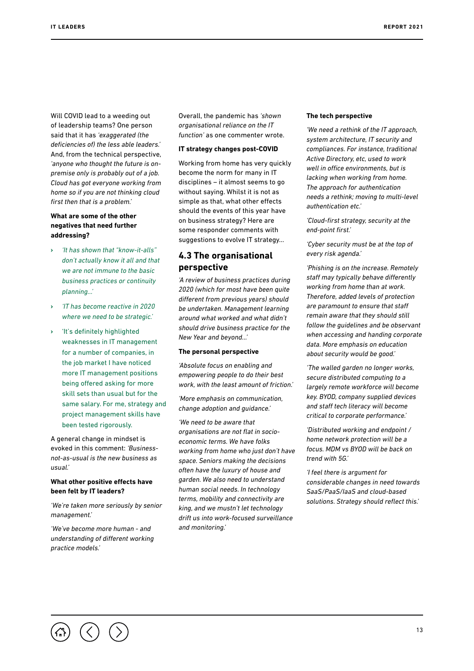<span id="page-12-0"></span>Will COVID lead to a weeding out of leadership teams? One person said that it has *'exaggerated (the deficiencies of) the less able leaders.'*  And, from the technical perspective, *'anyone who thought the future is onpremise only is probably out of a job. Cloud has got everyone working from home so if you are not thinking cloud first then that is a problem.'*

#### **What are some of the other negatives that need further addressing?**

- **›** *'It has shown that "know-it-alls" don't actually know it all and that we are not immune to the basic business practices or continuity planning...'*
- **›** *'IT has become reactive in 2020 where we need to be strategic.'*
- **›** 'It's definitely highlighted weaknesses in IT management for a number of companies, in the job market I have noticed more IT management positions being offered asking for more skill sets than usual but for the same salary. For me, strategy and project management skills have been tested rigorously.

A general change in mindset is evoked in this comment: *'Businessnot-as-usual is the new business as usual.'*

#### **What other positive effects have been felt by IT leaders?**

*'We're taken more seriously by senior management.'*

*'We've become more human - and understanding of different working practice models.'*

Overall, the pandemic has *'shown organisational reliance on the IT function'* as one commenter wrote.

#### **IT strategy changes post-COVID**

Working from home has very quickly become the norm for many in IT disciplines – it almost seems to go without saying. Whilst it is not as simple as that, what other effects should the events of this year have on business strategy? Here are some responder comments with suggestions to evolve IT strategy…

#### **4.3 The organisational perspective**

*'A review of business practices during 2020 (which for most have been quite different from previous years) should be undertaken. Management learning around what worked and what didn't should drive business practice for the New Year and beyond...'*

#### **The personal perspective**

*'Absolute focus on enabling and empowering people to do their best work, with the least amount of friction.'*

*'More emphasis on communication, change adoption and guidance.'*

*'We need to be aware that organisations are not flat in socioeconomic terms. We have folks working from home who just don't have space. Seniors making the decisions often have the luxury of house and garden. We also need to understand human social needs. In technology terms, mobility and connectivity are king, and we mustn't let technology drift us into work-focused surveillance and monitoring.'*

#### **The tech perspective**

*'We need a rethink of the IT approach, system architecture, IT security and compliances. For instance, traditional Active Directory, etc, used to work well in office environments, but is lacking when working from home. The approach for authentication needs a rethink; moving to multi-level authentication etc.'*

*'Cloud-first strategy, security at the end-point first.'*

*'Cyber security must be at the top of every risk agenda.'*

*'Phishing is on the increase. Remotely staff may typically behave differently working from home than at work. Therefore, added levels of protection are paramount to ensure that staff remain aware that they should still follow the guidelines and be observant when accessing and handing corporate data. More emphasis on education about security would be good.'*

*'The walled garden no longer works, secure distributed computing to a largely remote workforce will become key. BYOD, company supplied devices and staff tech literacy will become critical to corporate performance.'*

*'Distributed working and endpoint / home network protection will be a focus. MDM vs BYOD will be back on trend with 5G.'*

*'I feel there is argument for considerable changes in need towards SaaS/PaaS/IaaS and cloud-based solutions. Strategy should reflect this.'*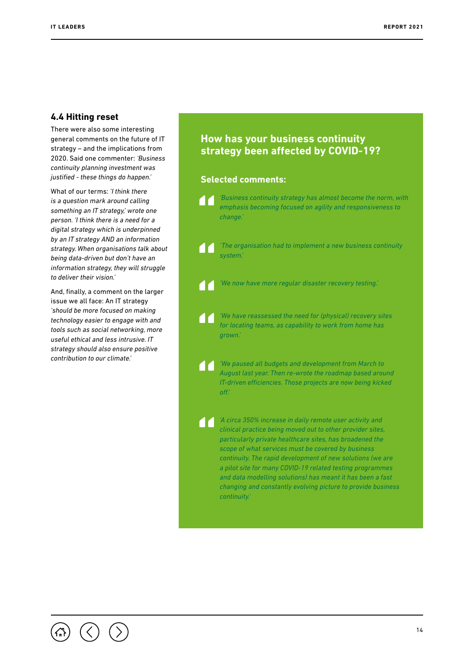#### <span id="page-13-0"></span>**4.4 Hitting reset**

There were also some interesting general comments on the future of IT strategy – and the implications from 2020. Said one commenter: *'Business continuity planning investment was justified - these things do happen.'*

What of our terms: *'I think there is a question mark around calling something an IT strategy,' wrote one person. 'I think there is a need for a digital strategy which is underpinned by an IT strategy AND an information strategy. When organisations talk about being data-driven but don't have an information strategy, they will struggle to deliver their vision.'*

And, finally, a comment on the larger issue we all face: An IT strategy *'should be more focused on making technology easier to engage with and tools such as social networking, more useful ethical and less intrusive. IT strategy should also ensure positive contribution to our climate.'*

#### **How has your business continuity strategy been affected by COVID-19?**

#### **Selected comments:**

*'Business continuity strategy has almost become the norm, with*  **TT** *emphasis becoming focused on agility and responsiveness to change.'*

*'The organisation had to implement a new business continuity*  **TT** *system.'*

*'We now have more regular disaster recovery testing.'*

*'We have reassessed the need for (physical) recovery sites*  **TT** *for locating teams, as capability to work from home has grown.'*

*'We paused all budgets and development from March to*  **A** *August last year. Then re-wrote the roadmap based around IT-driven efficiencies. Those projects are now being kicked off.'*

*'A circa 350% increase in daily remote user activity and clinical practice being moved out to other provider sites, particularly private healthcare sites, has broadened the scope of what services must be covered by business continuity. The rapid development of new solutions (we are a pilot site for many COVID-19 related testing programmes and data modelling solutions) has meant it has been a fast changing and constantly evolving picture to provide business continuity.'*

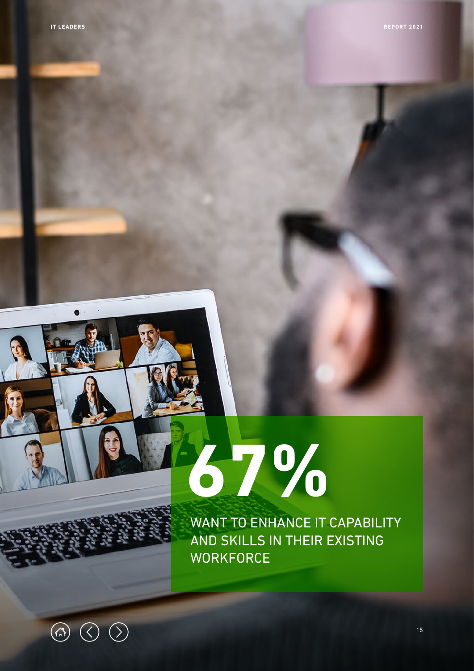# **67%**

WANT TO ENHANCE IT CAPABILITY AND SKILLS IN THEIR EXISTING **WORKFORCE** 

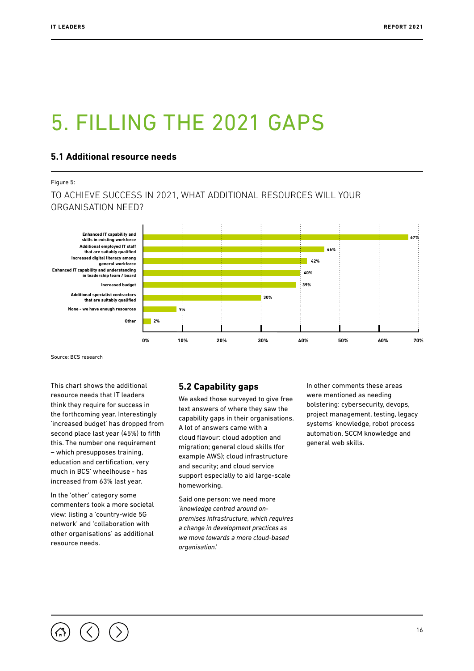## <span id="page-15-0"></span>5. FILLING THE 2021 GAPS

#### **5.1 Additional resource needs**

#### Figure 5:

TO ACHIEVE SUCCESS IN 2021, WHAT ADDITIONAL RESOURCES WILL YOUR ORGANISATION NEED?



Source: BCS research

This chart shows the additional resource needs that IT leaders think they require for success in the forthcoming year. Interestingly 'increased budget' has dropped from second place last year (45%) to fifth this. The number one requirement – which presupposes training, education and certification, very much in BCS' wheelhouse - has increased from 63% last year.

In the 'other' category some commenters took a more societal view: listing a 'country-wide 5G network' and 'collaboration with other organisations' as additional resource needs.

#### **5.2 Capability gaps**

We asked those surveyed to give free text answers of where they saw the capability gaps in their organisations. A lot of answers came with a cloud flavour: cloud adoption and migration; general cloud skills (for example AWS); cloud infrastructure and security; and cloud service support especially to aid large-scale homeworking.

Said one person: we need more *'knowledge centred around onpremises infrastructure, which requires a change in development practices as we move towards a more cloud-based organisation.'*

In other comments these areas were mentioned as needing bolstering: cybersecurity, devops, project management, testing, legacy systems' knowledge, robot process automation, SCCM knowledge and general web skills.

16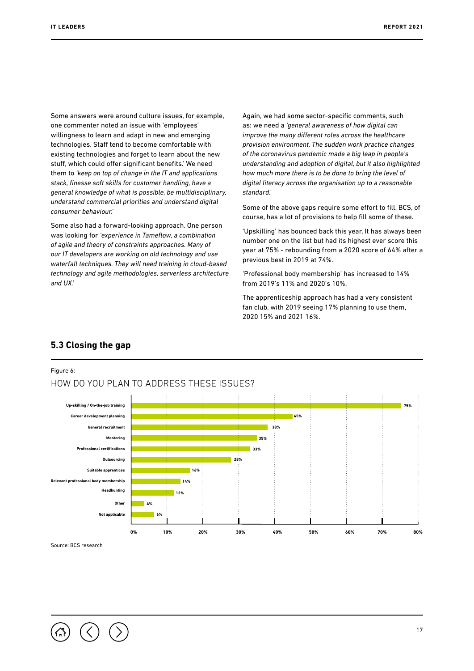<span id="page-16-0"></span>Some answers were around culture issues, for example, one commenter noted an issue with 'employees' willingness to learn and adapt in new and emerging technologies. Staff tend to become comfortable with existing technologies and forget to learn about the new stuff, which could offer significant benefits.' We need them to *'keep on top of change in the IT and applications stack, finesse soft skills for customer handling, have a general knowledge of what is possible, be multidisciplinary, understand commercial priorities and understand digital consumer behaviour.'*

Some also had a forward-looking approach. One person was looking for *'experience in Tameflow, a combination of agile and theory of constraints approaches. Many of our IT developers are working on old technology and use waterfall techniques. They will need training in cloud-based technology and agile methodologies, serverless architecture and UX.'*

Again, we had some sector-specific comments, such as: we need a *'general awareness of how digital can improve the many different roles across the healthcare provision environment. The sudden work practice changes of the coronavirus pandemic made a big leap in people's understanding and adoption of digital, but it also highlighted how much more there is to be done to bring the level of digital literacy across the organisation up to a reasonable standard.'*

Some of the above gaps require some effort to fill. BCS, of course, has a lot of provisions to help fill some of these.

'Upskilling' has bounced back this year. It has always been number one on the list but had its highest ever score this year at 75% - rebounding from a 2020 score of 64% after a previous best in 2019 at 74%.

'Professional body membership' has increased to 14% from 2019's 11% and 2020's 10%.

The apprenticeship approach has had a very consistent fan club, with 2019 seeing 17% planning to use them, 2020 15% and 2021 16%.



#### **5.3 Closing the gap**

Figure 6:

Source: BCS research

17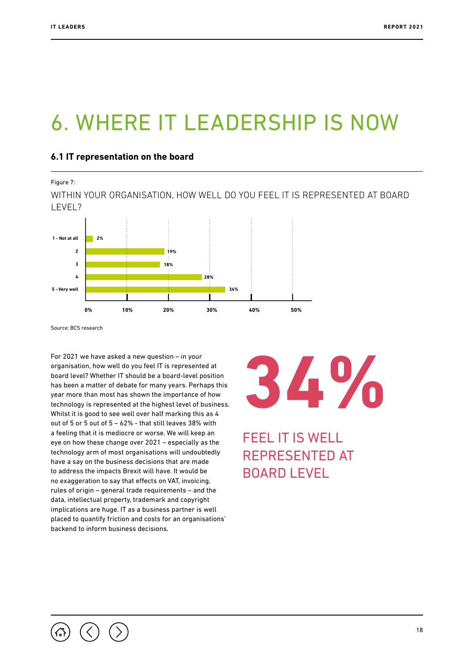## <span id="page-17-0"></span>6. WHERE IT LEADERSHIP IS NOW

#### **6.1 IT representation on the board**

Figure 7:

WITHIN YOUR ORGANISATION, HOW WELL DO YOU FEEL IT IS REPRESENTED AT BOARD LEVEL?



**Tech specialists** Source: BCS research

For 2021 we have asked a new question – in your organisation, how well do you feel IT is represented at board level? Whether IT should be a board-level position has been a matter of debate for many years. Perhaps this year more than most has shown the importance of how technology is represented at the highest level of business. Whilst it is good to see well over half marking this as 4 out of 5 or 5 out of 5 – 62% - that still leaves 38% with a feeling that it is mediocre or worse. We will keep an eye on how these change over 2021 – especially as the technology arm of most organisations will undoubtedly have a say on the business decisions that are made to address the impacts Brexit will have. It would be no exaggeration to say that effects on VAT, invoicing, rules of origin – general trade requirements – and the data, intellectual property, trademark and copyright implications are huge. IT as a business partner is well placed to quantify friction and costs for an organisations' backend to inform business decisions.

## **34%**

FEEL IT IS WELL REPRESENTED AT BOARD LEVEL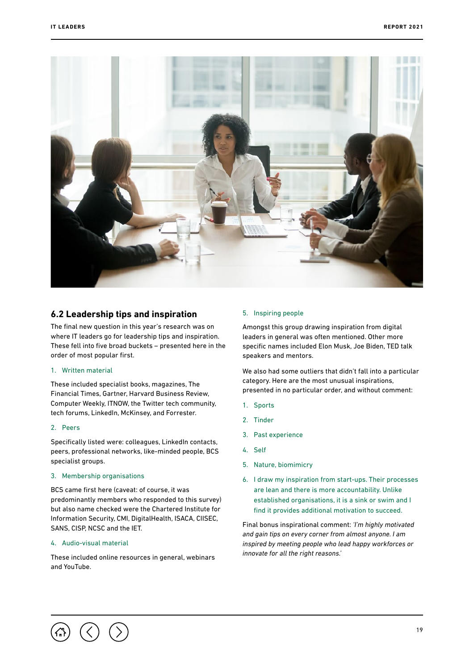<span id="page-18-0"></span>

#### **6.2 Leadership tips and inspiration**

The final new question in this year's research was on where IT leaders go for leadership tips and inspiration. These fell into five broad buckets – presented here in the order of most popular first.

#### 1. Written material

These included specialist books, magazines, The Financial Times, Gartner, Harvard Business Review, Computer Weekly, ITNOW, the Twitter tech community, tech forums, LinkedIn, McKinsey, and Forrester.

#### 2. Peers

Specifically listed were: colleagues, LinkedIn contacts, peers, professional networks, like-minded people, BCS specialist groups.

#### 3. Membership organisations

BCS came first here (caveat: of course, it was predominantly members who responded to this survey) but also name checked were the Chartered Institute for Information Security, CMI, DigitalHealth, ISACA, CIISEC, SANS, CISP, NCSC and the IET.

#### 4. Audio-visual material

These included online resources in general, webinars and YouTube.

#### 5. Inspiring people

Amongst this group drawing inspiration from digital leaders in general was often mentioned. Other more specific names included Elon Musk, Joe Biden, TED talk speakers and mentors.

We also had some outliers that didn't fall into a particular category. Here are the most unusual inspirations, presented in no particular order, and without comment:

- 1. Sports
- 2. Tinder
- 3. Past experience
- 4. Self
- 5. Nature, biomimicry
- 6. I draw my inspiration from start-ups. Their processes are lean and there is more accountability. Unlike established organisations, it is a sink or swim and I find it provides additional motivation to succeed.

Final bonus inspirational comment: *'I'm highly motivated and gain tips on every corner from almost anyone. I am inspired by meeting people who lead happy workforces or innovate for all the right reasons.'*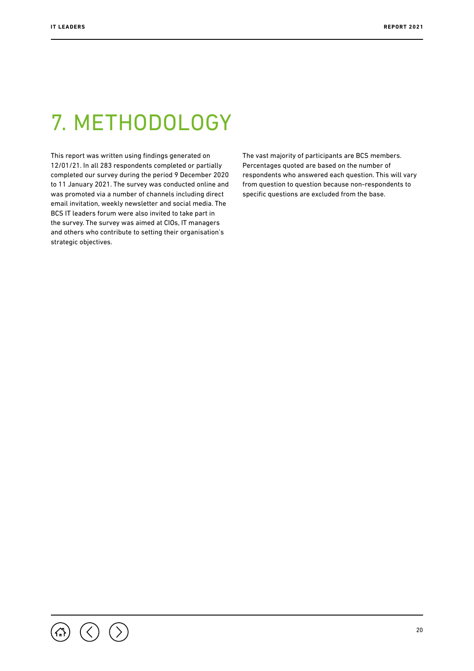## <span id="page-19-0"></span>7. METHODOLOGY

This report was written using findings generated on 12/01/21. In all 283 respondents completed or partially completed our survey during the period 9 December 2020 to 11 January 2021. The survey was conducted online and was promoted via a number of channels including direct email invitation, weekly newsletter and social media. The BCS IT leaders forum were also invited to take part in the survey. The survey was aimed at CIOs, IT managers and others who contribute to setting their organisation's strategic objectives.

The vast majority of participants are BCS members. Percentages quoted are based on the number of respondents who answered each question. This will vary from question to question because non-respondents to specific questions are excluded from the base.